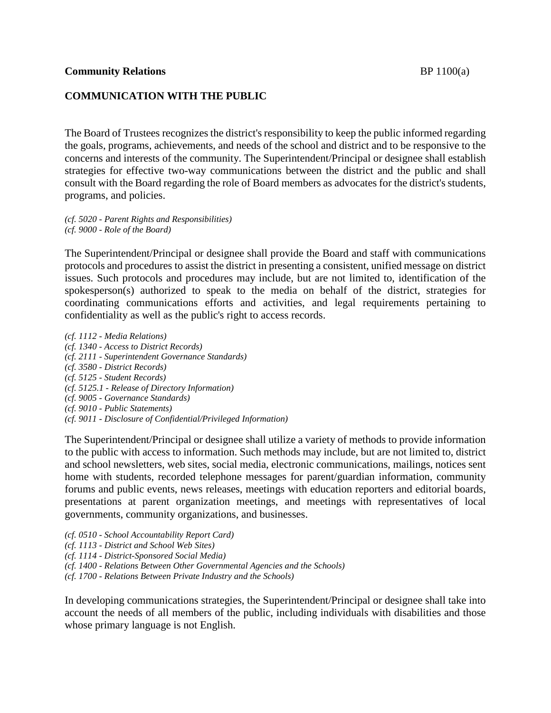#### **Community Relations** BP 1100(a)

### **COMMUNICATION WITH THE PUBLIC**

The Board of Trustees recognizes the district's responsibility to keep the public informed regarding the goals, programs, achievements, and needs of the school and district and to be responsive to the concerns and interests of the community. The Superintendent/Principal or designee shall establish strategies for effective two-way communications between the district and the public and shall consult with the Board regarding the role of Board members as advocates for the district's students, programs, and policies.

*(cf. 5020 - Parent Rights and Responsibilities) (cf. 9000 - Role of the Board)*

The Superintendent/Principal or designee shall provide the Board and staff with communications protocols and procedures to assist the district in presenting a consistent, unified message on district issues. Such protocols and procedures may include, but are not limited to, identification of the spokesperson(s) authorized to speak to the media on behalf of the district, strategies for coordinating communications efforts and activities, and legal requirements pertaining to confidentiality as well as the public's right to access records.

*(cf. 1112 - Media Relations) (cf. 1340 - Access to District Records) (cf. 2111 - Superintendent Governance Standards) (cf. 3580 - District Records) (cf. 5125 - Student Records) (cf. 5125.1 - Release of Directory Information) (cf. 9005 - Governance Standards) (cf. 9010 - Public Statements) (cf. 9011 - Disclosure of Confidential/Privileged Information)*

The Superintendent/Principal or designee shall utilize a variety of methods to provide information to the public with access to information. Such methods may include, but are not limited to, district and school newsletters, web sites, social media, electronic communications, mailings, notices sent home with students, recorded telephone messages for parent/guardian information, community forums and public events, news releases, meetings with education reporters and editorial boards, presentations at parent organization meetings, and meetings with representatives of local governments, community organizations, and businesses.

- *(cf. 0510 - School Accountability Report Card)*
- *(cf. 1113 - District and School Web Sites)*
- *(cf. 1114 - District-Sponsored Social Media)*
- *(cf. 1400 - Relations Between Other Governmental Agencies and the Schools)*
- *(cf. 1700 - Relations Between Private Industry and the Schools)*

In developing communications strategies, the Superintendent/Principal or designee shall take into account the needs of all members of the public, including individuals with disabilities and those whose primary language is not English.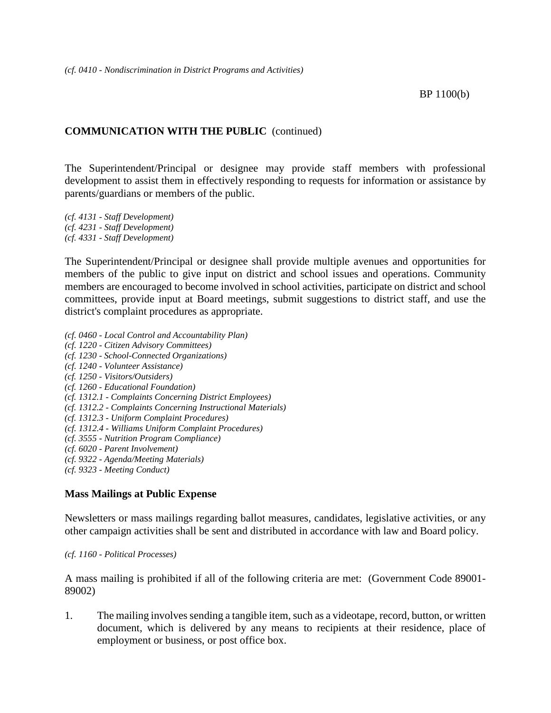## **COMMUNICATION WITH THE PUBLIC** (continued)

The Superintendent/Principal or designee may provide staff members with professional development to assist them in effectively responding to requests for information or assistance by parents/guardians or members of the public.

*(cf. 4131 - Staff Development) (cf. 4231 - Staff Development) (cf. 4331 - Staff Development)*

The Superintendent/Principal or designee shall provide multiple avenues and opportunities for members of the public to give input on district and school issues and operations. Community members are encouraged to become involved in school activities, participate on district and school committees, provide input at Board meetings, submit suggestions to district staff, and use the district's complaint procedures as appropriate.

*(cf. 0460 - Local Control and Accountability Plan) (cf. 1220 - Citizen Advisory Committees) (cf. 1230 - School-Connected Organizations) (cf. 1240 - Volunteer Assistance) (cf. 1250 - Visitors/Outsiders) (cf. 1260 - Educational Foundation) (cf. 1312.1 - Complaints Concerning District Employees) (cf. 1312.2 - Complaints Concerning Instructional Materials) (cf. 1312.3 - Uniform Complaint Procedures) (cf. 1312.4 - Williams Uniform Complaint Procedures) (cf. 3555 - Nutrition Program Compliance) (cf. 6020 - Parent Involvement) (cf. 9322 - Agenda/Meeting Materials) (cf. 9323 - Meeting Conduct)*

### **Mass Mailings at Public Expense**

Newsletters or mass mailings regarding ballot measures, candidates, legislative activities, or any other campaign activities shall be sent and distributed in accordance with law and Board policy.

*(cf. 1160 - Political Processes)*

A mass mailing is prohibited if all of the following criteria are met: (Government Code 89001- 89002)

1. The mailing involves sending a tangible item, such as a videotape, record, button, or written document, which is delivered by any means to recipients at their residence, place of employment or business, or post office box.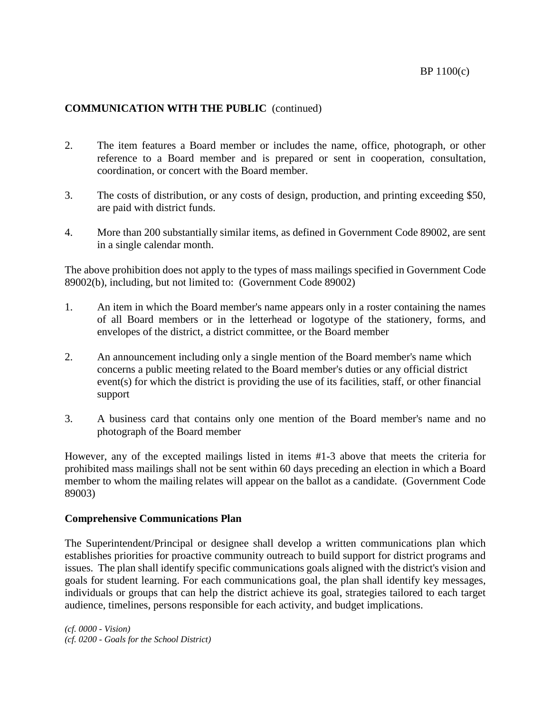# **COMMUNICATION WITH THE PUBLIC** (continued)

- 2. The item features a Board member or includes the name, office, photograph, or other reference to a Board member and is prepared or sent in cooperation, consultation, coordination, or concert with the Board member.
- 3. The costs of distribution, or any costs of design, production, and printing exceeding \$50, are paid with district funds.
- 4. More than 200 substantially similar items, as defined in Government Code 89002, are sent in a single calendar month.

The above prohibition does not apply to the types of mass mailings specified in Government Code 89002(b), including, but not limited to: (Government Code 89002)

- 1. An item in which the Board member's name appears only in a roster containing the names of all Board members or in the letterhead or logotype of the stationery, forms, and envelopes of the district, a district committee, or the Board member
- 2. An announcement including only a single mention of the Board member's name which concerns a public meeting related to the Board member's duties or any official district event(s) for which the district is providing the use of its facilities, staff, or other financial support
- 3. A business card that contains only one mention of the Board member's name and no photograph of the Board member

However, any of the excepted mailings listed in items #1-3 above that meets the criteria for prohibited mass mailings shall not be sent within 60 days preceding an election in which a Board member to whom the mailing relates will appear on the ballot as a candidate. (Government Code 89003)

#### **Comprehensive Communications Plan**

The Superintendent/Principal or designee shall develop a written communications plan which establishes priorities for proactive community outreach to build support for district programs and issues. The plan shall identify specific communications goals aligned with the district's vision and goals for student learning. For each communications goal, the plan shall identify key messages, individuals or groups that can help the district achieve its goal, strategies tailored to each target audience, timelines, persons responsible for each activity, and budget implications.

*(cf. 0000 - Vision) (cf. 0200 - Goals for the School District)*